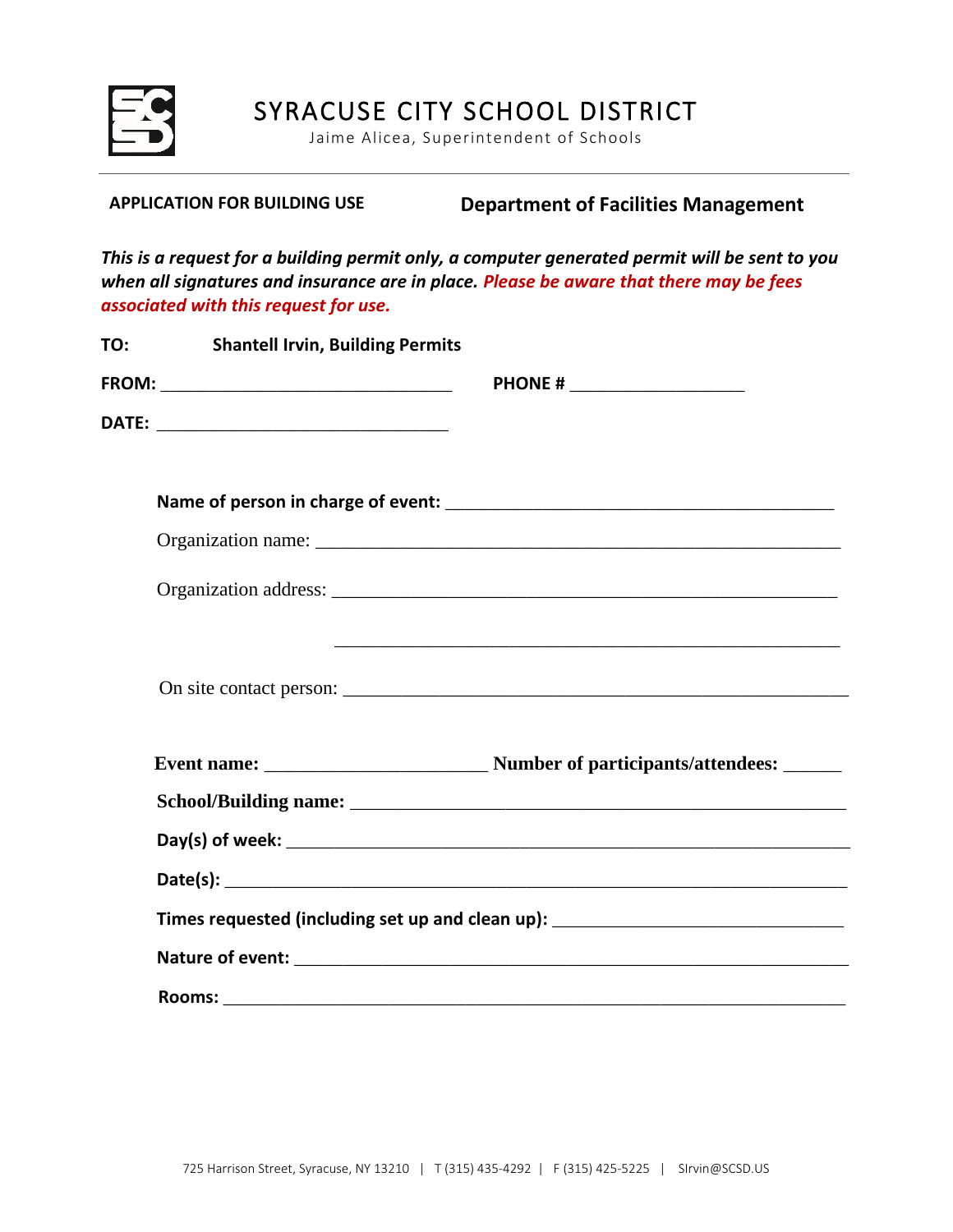

SYRACUSE CITY SCHOOL DISTRICT

Jaime Alicea, Superintendent of Schools

**APPLICATION FOR BUILDING USE Department of Facilities Management**

*This is a request for a building permit only, a computer generated permit will be sent to you when all signatures and insurance are in place. Please be aware that there may be fees associated with this request for use.*

| TO:<br><b>Shantell Irvin, Building Permits</b> |                                                                                  |
|------------------------------------------------|----------------------------------------------------------------------------------|
|                                                | PHONE # ______________________                                                   |
|                                                |                                                                                  |
|                                                |                                                                                  |
|                                                |                                                                                  |
|                                                |                                                                                  |
|                                                |                                                                                  |
|                                                |                                                                                  |
|                                                |                                                                                  |
|                                                |                                                                                  |
|                                                |                                                                                  |
|                                                |                                                                                  |
|                                                | Times requested (including set up and clean up): _______________________________ |
|                                                |                                                                                  |
|                                                |                                                                                  |